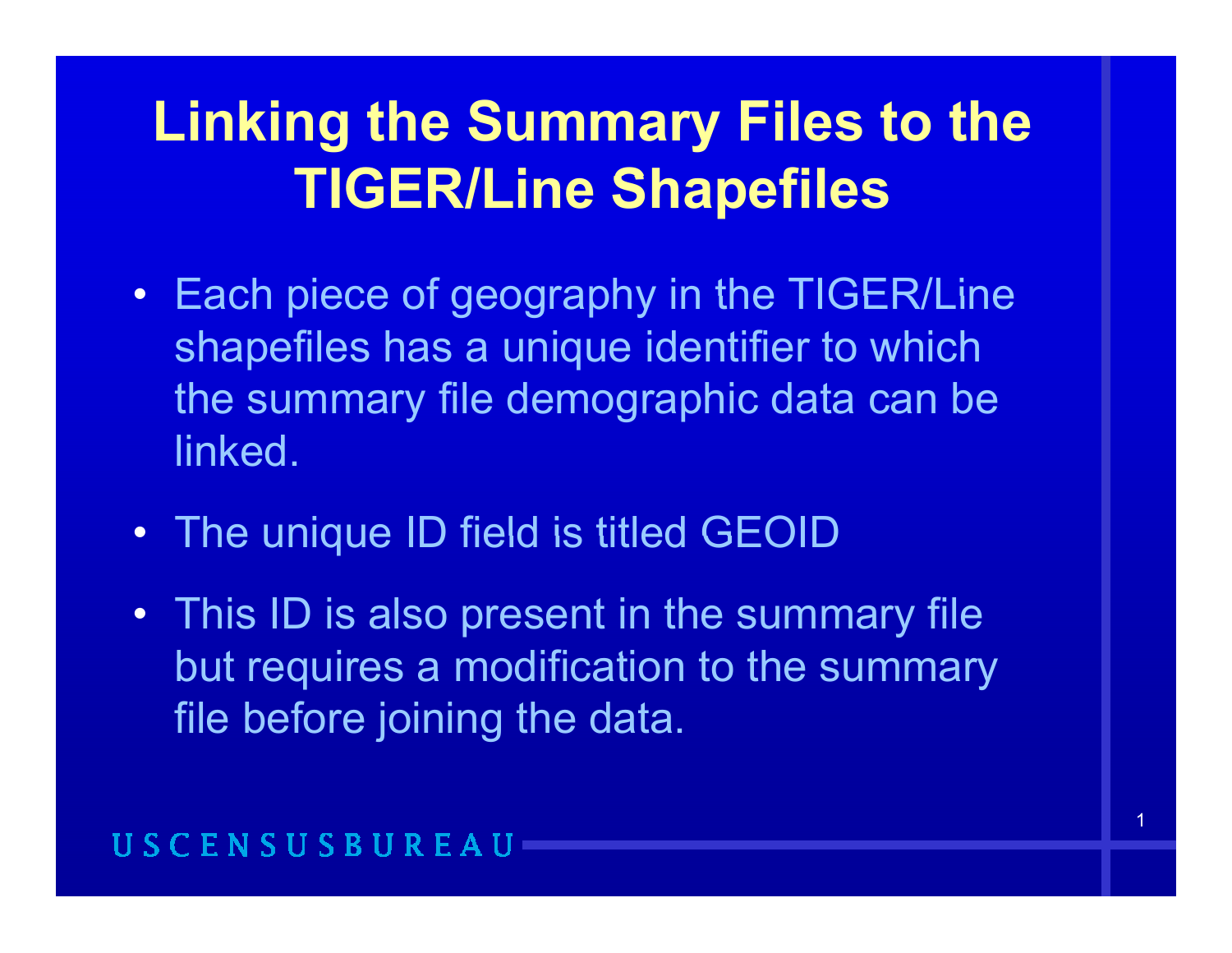### **Linking the Summary Files to the TIGER/Li Sh fil TIGER/Line Shapefiles**

- Each piece of geography in the TIGER/Line shapefiles has a unique identifier to which the summary file demographic data can be linked.
- The unique ID field is titled GEOID
- This ID is also present in the summary file but requires a modification to the summary file before joining the data.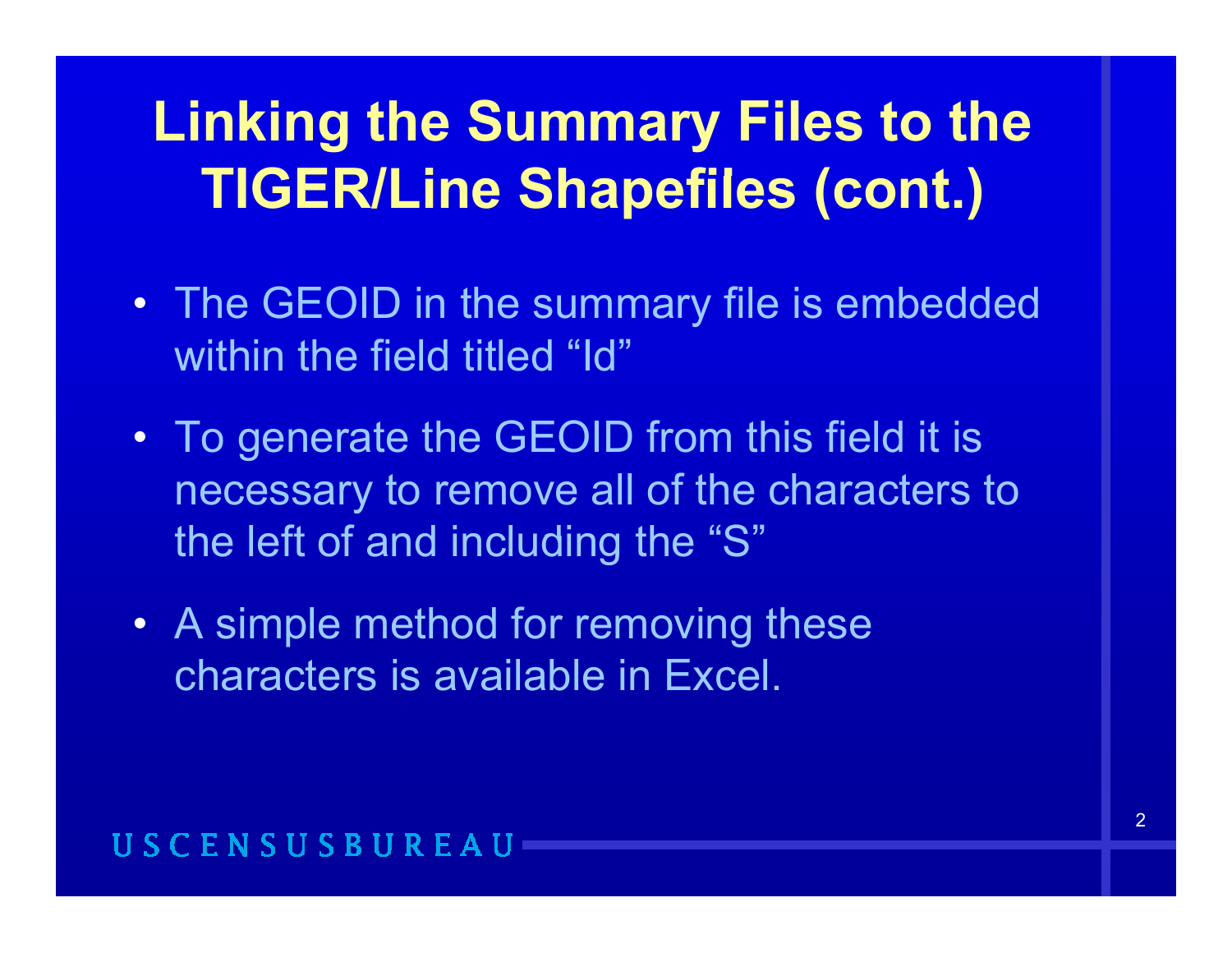- The GEOID in the summary file is embedded within the field titled "Id"
- To generate the GEOID from this field it is necessary to remove all of the characters to the left of and including the " S "
- A simple method for removing these characters is available in Excel.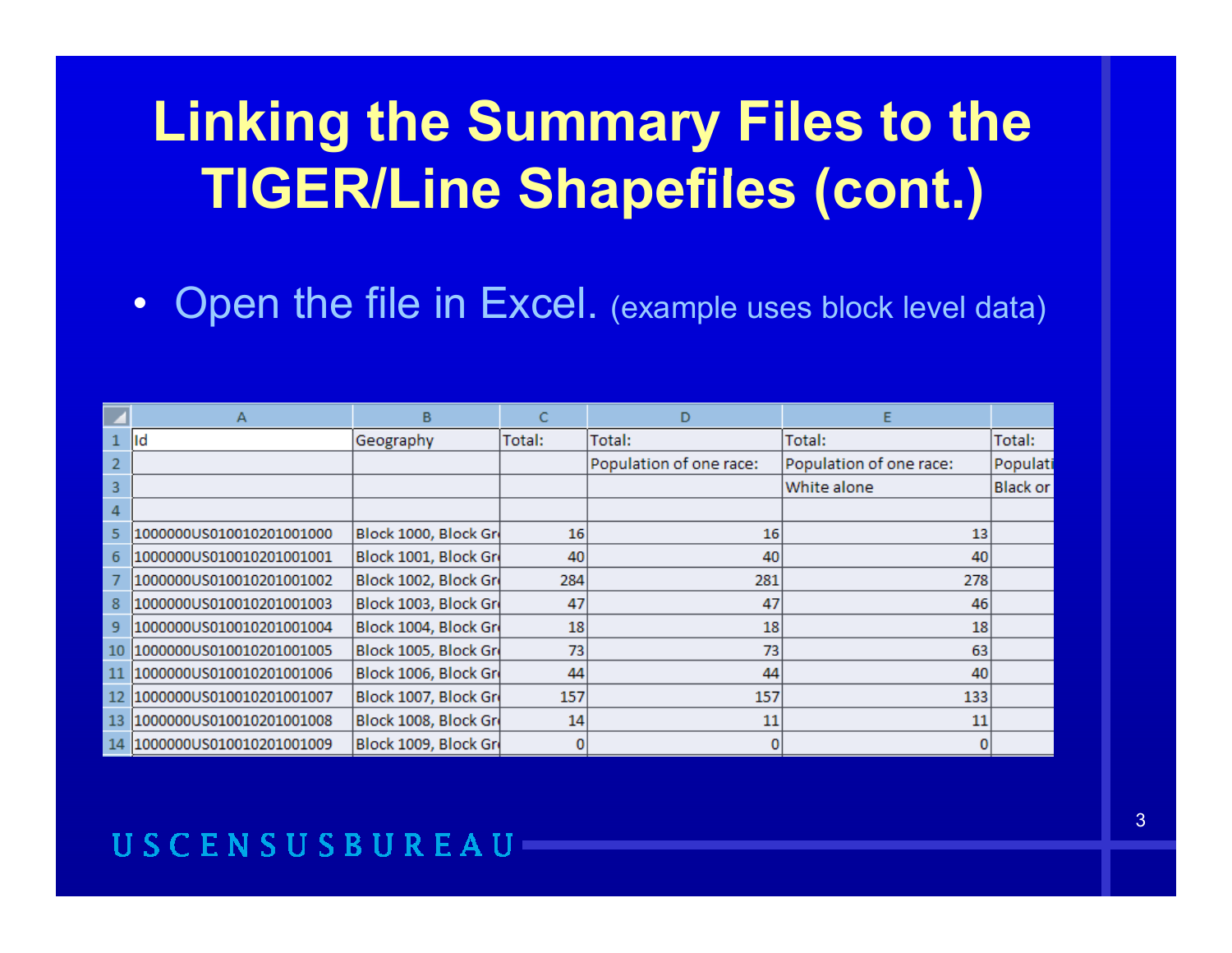Open the file in Excel. (example uses block level data)  $\bullet$ 

|                | A                           | B                    | C      | D                       |                         |                 |
|----------------|-----------------------------|----------------------|--------|-------------------------|-------------------------|-----------------|
|                | lld                         | Geography            | Total: | Total:                  | Total:                  | Total:          |
| $\overline{2}$ |                             |                      |        | Population of one race: | Population of one race: | Populati        |
| 3              |                             |                      |        |                         | White alone             | <b>Black or</b> |
| $\overline{4}$ |                             |                      |        |                         |                         |                 |
| 5              | 1000000US010010201001000    | Block 1000, Block Gr | 16     | 16                      | 13                      |                 |
| 6              | 1000000US010010201001001    | Block 1001, Block Gr | 40     | 40                      | 40                      |                 |
|                | 1000000US010010201001002    | Block 1002, Block Gr | 284    | 281                     | 278                     |                 |
| 8              | 1000000US010010201001003    | Block 1003, Block Gr | 47     | 47                      | 46                      |                 |
| 9              | 1000000US010010201001004    | Block 1004, Block Gr | 18     | 18                      | 18                      |                 |
| 10             | 1000000US010010201001005    | Block 1005, Block Gr | 73     | 73                      | 63                      |                 |
|                | 1000000US010010201001006    | Block 1006, Block Gr | 44     | 44                      | 40                      |                 |
|                | 1000000US010010201001007    | Block 1007, Block Gr | 157    | 157                     | 133                     |                 |
| 13.            | 1000000US010010201001008    | Block 1008, Block Gr | 14     | 11                      | 11                      |                 |
|                | 14 1000000US010010201001009 | Block 1009, Block Gr |        |                         |                         |                 |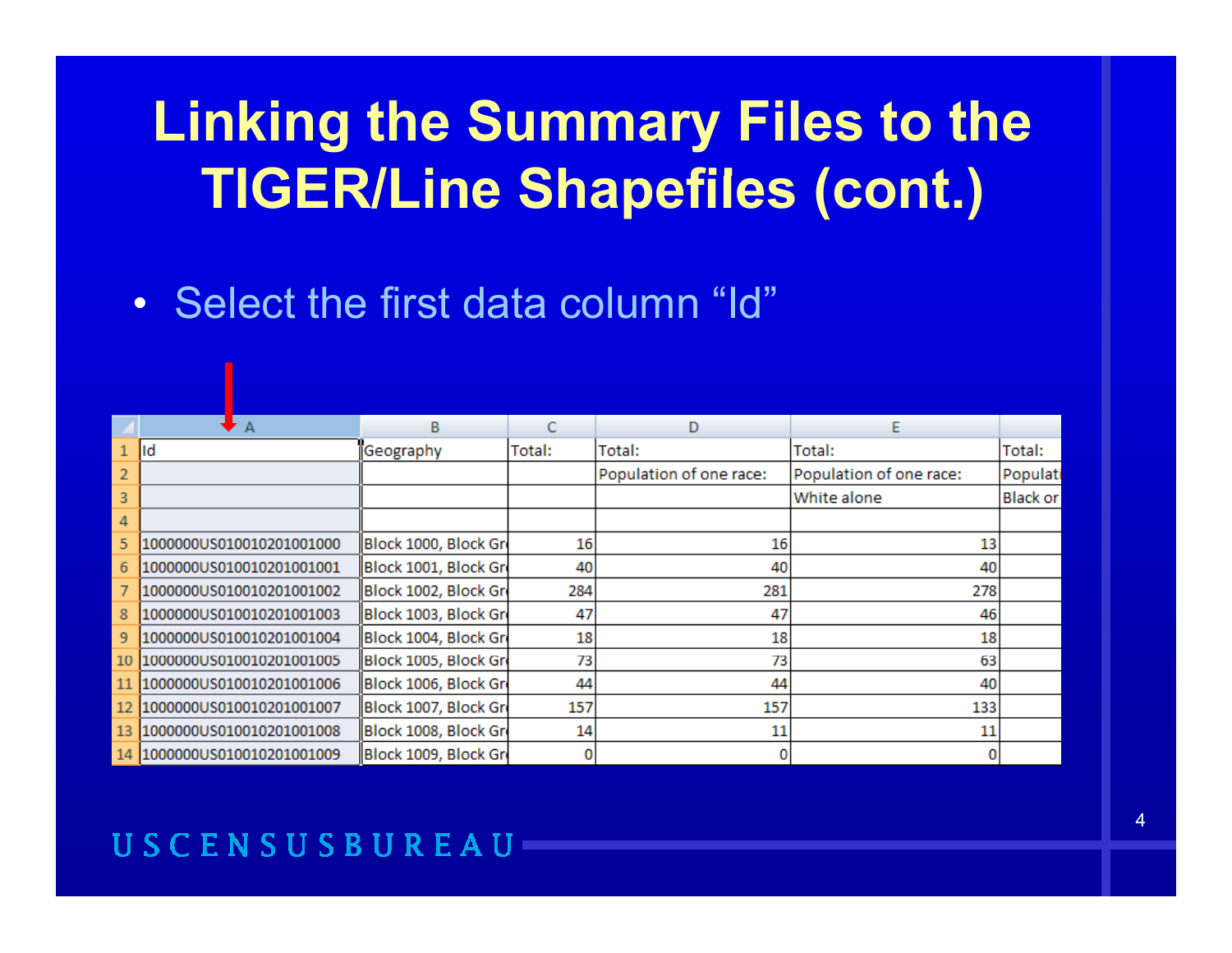• Select the first data column "Id"

|    | ▸ A                         | B                    | C      | D                       | E                       |                 |
|----|-----------------------------|----------------------|--------|-------------------------|-------------------------|-----------------|
|    | Id                          | Geography            | Total: | Total:                  | Total:                  | Total:          |
|    |                             |                      |        | Population of one race: | Population of one race: | Populati        |
| 3  |                             |                      |        |                         | White alone             | <b>Black or</b> |
| 4  |                             |                      |        |                         |                         |                 |
| 5  | 1000000US010010201001000    | Block 1000, Block Gr | 16     | 16                      | 13                      |                 |
| 6  | 1000000US010010201001001    | Block 1001, Block Gr | 40     | 40                      | 40                      |                 |
|    | 1000000US010010201001002    | Block 1002, Block Gr | 284    | 281                     | 278                     |                 |
| 8  | 1000000US010010201001003    | Block 1003, Block Gr | 47     | 47                      | 46                      |                 |
| 9  | 1000000US010010201001004    | Block 1004, Block Gr | 18     | 18                      | 18                      |                 |
| 10 | 1000000US010010201001005    | Block 1005, Block Gr | 73     | 73                      | 63                      |                 |
| 11 | 1000000US010010201001006    | Block 1006, Block Gr | 44     | 44                      | 40                      |                 |
|    | 1000000US010010201001007    | Block 1007, Block Gr | 157    | 157                     | 133                     |                 |
| 13 | 1000000US010010201001008    | Block 1008, Block Gr | 14     | 11                      | 11                      |                 |
|    | 14 1000000US010010201001009 | Block 1009, Block Gr |        |                         |                         |                 |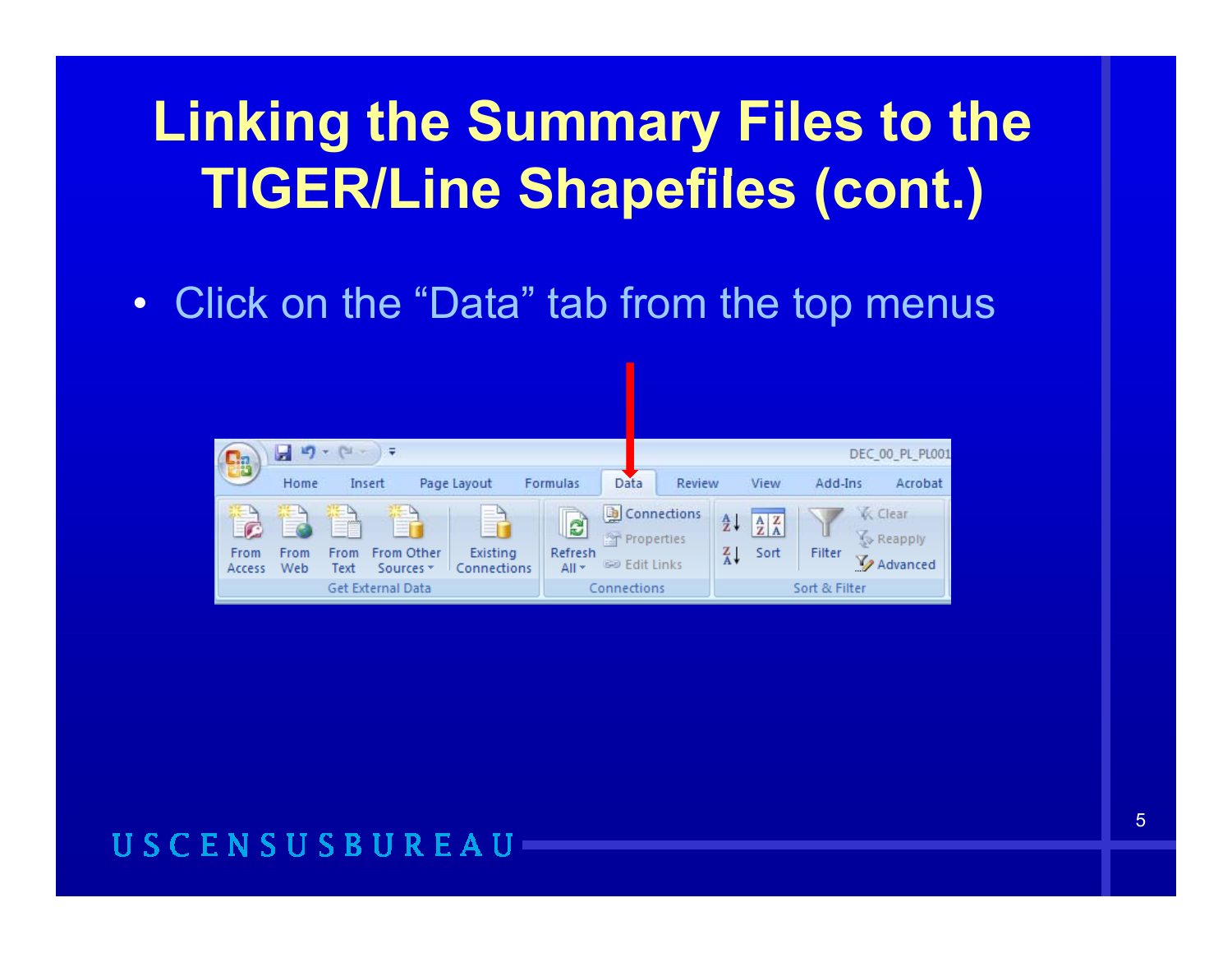Click on the "Data" tab from the top menus  $\bullet$ 

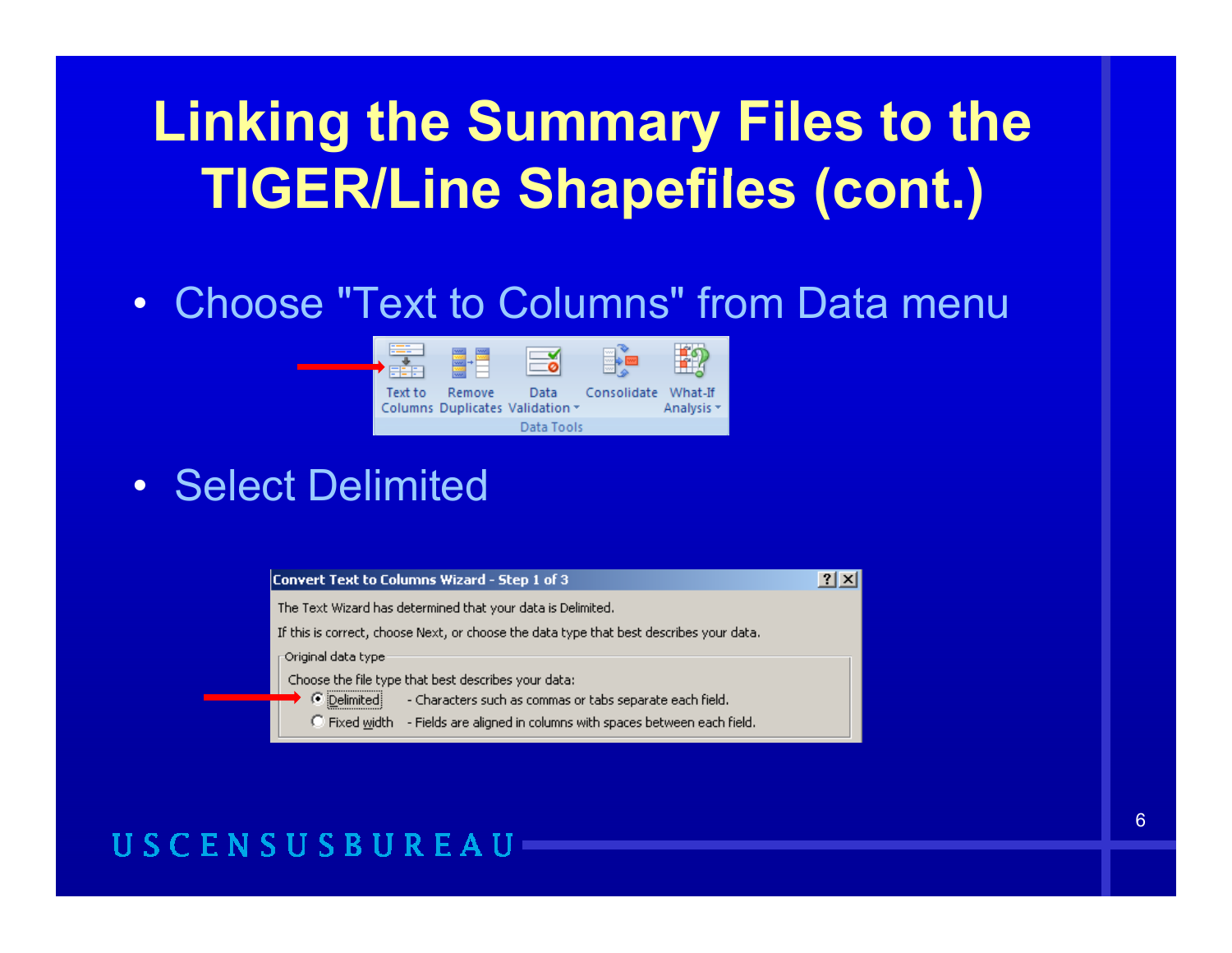### • Choose "Text to Columns" from Data menu



• Select Delimited

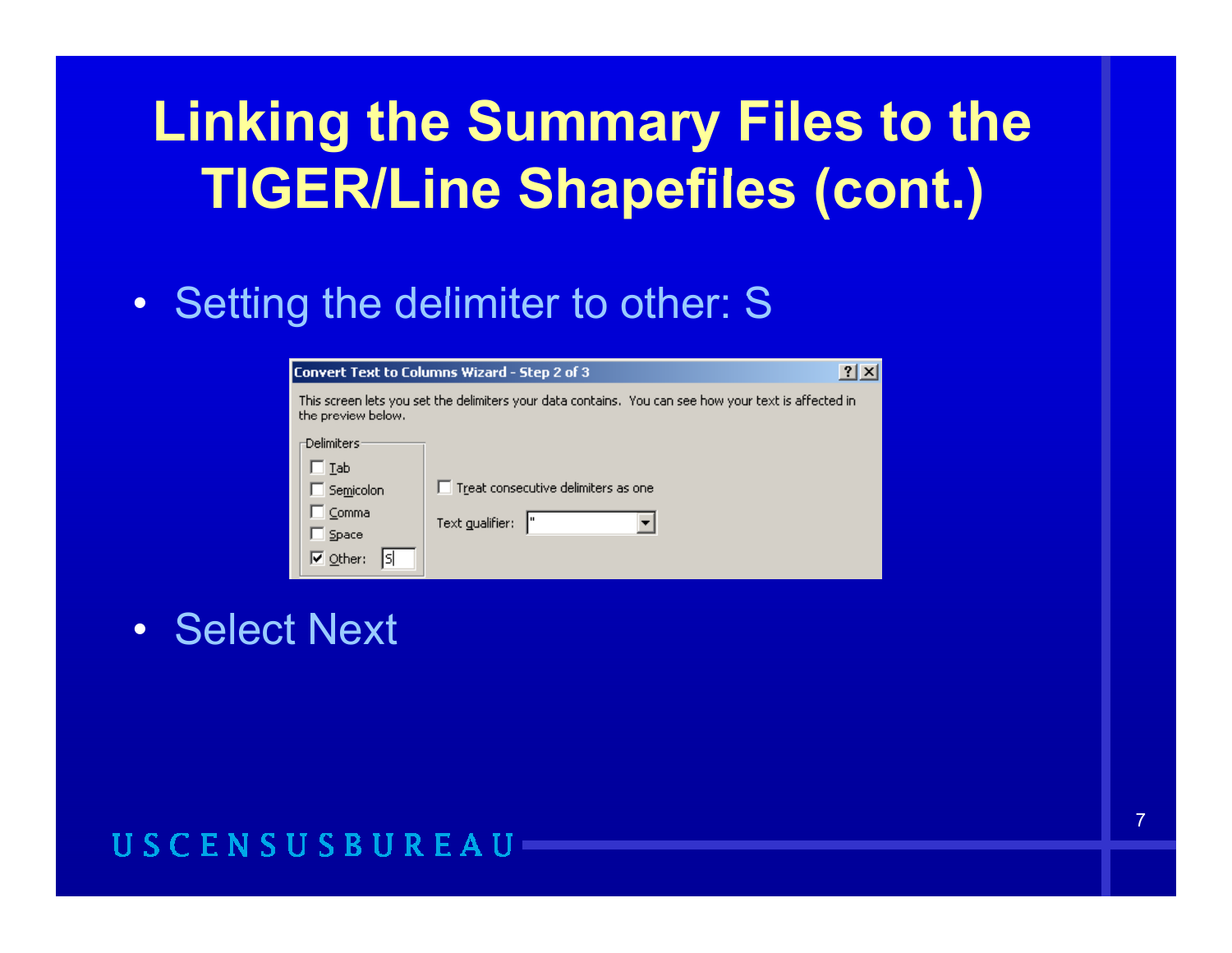### • Setting the delimiter to other: S

| ?<br>Convert Text to Columns Wizard - Step 2 of 3                                                                         |                                     |  |  |  |  |  |  |  |  |  |
|---------------------------------------------------------------------------------------------------------------------------|-------------------------------------|--|--|--|--|--|--|--|--|--|
| This screen lets you set the delimiters your data contains.You can see how your text is affected in<br>the preview below. |                                     |  |  |  |  |  |  |  |  |  |
| <b>Delimiters</b>                                                                                                         |                                     |  |  |  |  |  |  |  |  |  |
| □Iab                                                                                                                      |                                     |  |  |  |  |  |  |  |  |  |
| Semicolon                                                                                                                 | Treat consecutive delimiters as one |  |  |  |  |  |  |  |  |  |
| Comma                                                                                                                     | Text gualifier:                     |  |  |  |  |  |  |  |  |  |
| Space                                                                                                                     |                                     |  |  |  |  |  |  |  |  |  |
| $\overline{\triangledown}$ Other:                                                                                         |                                     |  |  |  |  |  |  |  |  |  |

• Select Next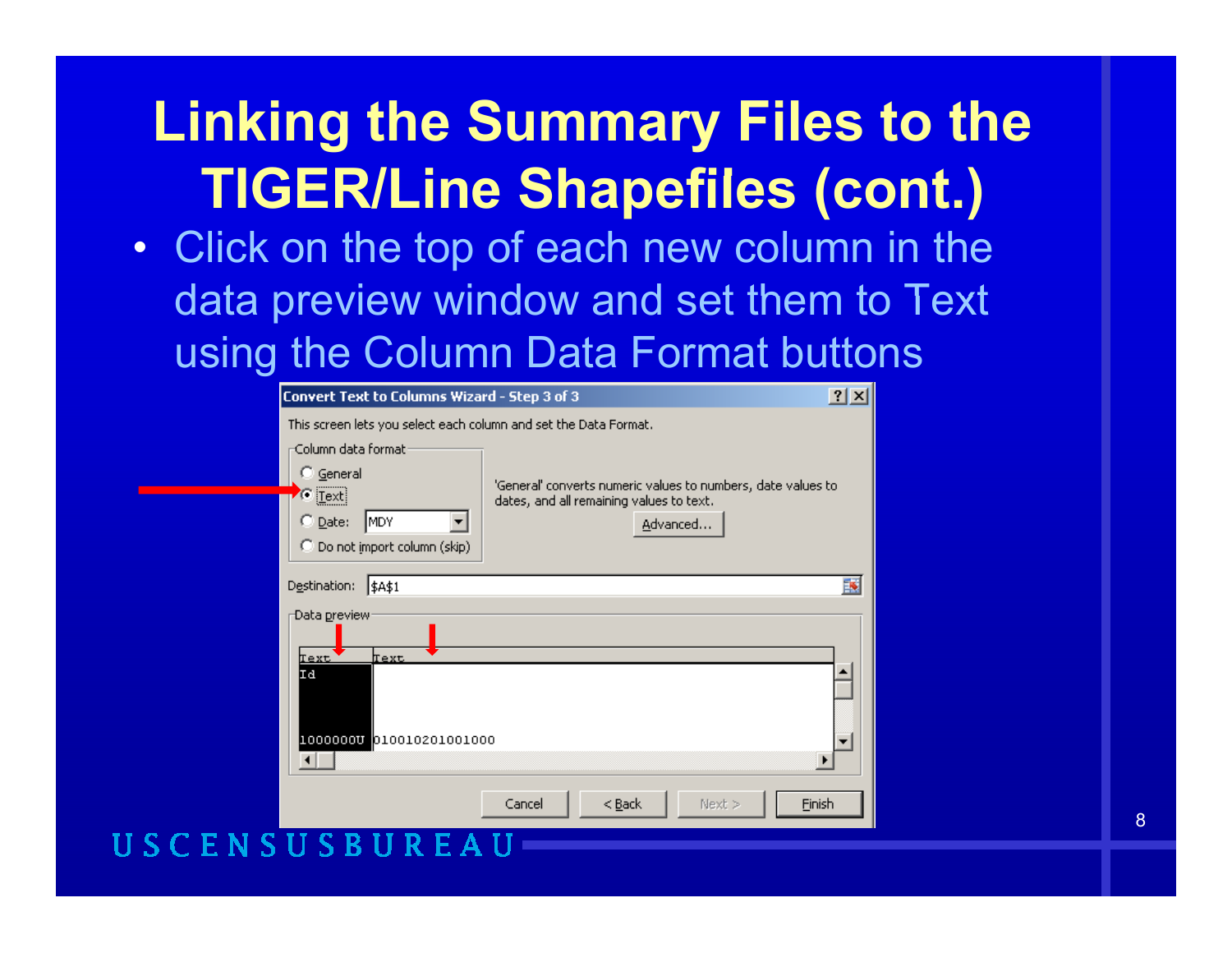• Click on the top of each new column in the data preview window and set them to Text using the Column Data Format buttons

| Convert Text to Columns Wizard - Step 3 of 3                                                                                                                                                                                                        |                              |        |  |  |  |  |  |  |
|-----------------------------------------------------------------------------------------------------------------------------------------------------------------------------------------------------------------------------------------------------|------------------------------|--------|--|--|--|--|--|--|
| This screen lets you select each column and set the Data Format.                                                                                                                                                                                    |                              |        |  |  |  |  |  |  |
| -Column data format :<br>$\degree$ General<br>'General' converts numeric values to numbers, date values to<br>$\sigma$ [Text]<br>dates, and all remaining values to text.<br>$\heartsuit$ Date:<br>MDY<br>Advanced<br>C Do not import column (skip) |                              |        |  |  |  |  |  |  |
| Destination:<br><b>\$A\$1</b>                                                                                                                                                                                                                       |                              | 專      |  |  |  |  |  |  |
| Data <u>p</u> review <sup>.</sup><br>Text<br>Text                                                                                                                                                                                                   |                              |        |  |  |  |  |  |  |
| Id<br>100000000 010010201001000                                                                                                                                                                                                                     |                              |        |  |  |  |  |  |  |
|                                                                                                                                                                                                                                                     |                              |        |  |  |  |  |  |  |
|                                                                                                                                                                                                                                                     | Cancel<br>$<$ Back<br>Next > | Einish |  |  |  |  |  |  |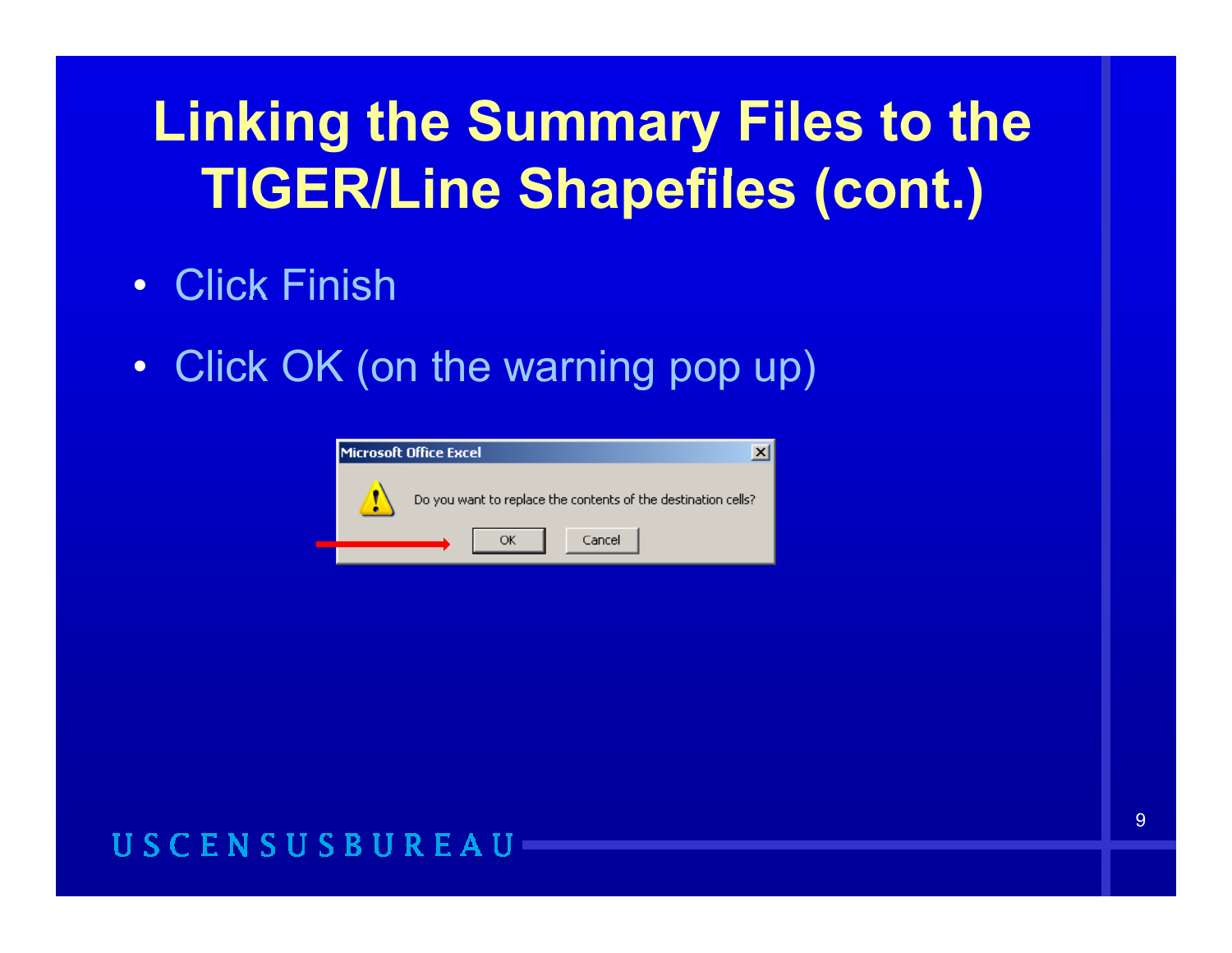- Click Finish
- Click OK (on the warning pop up)

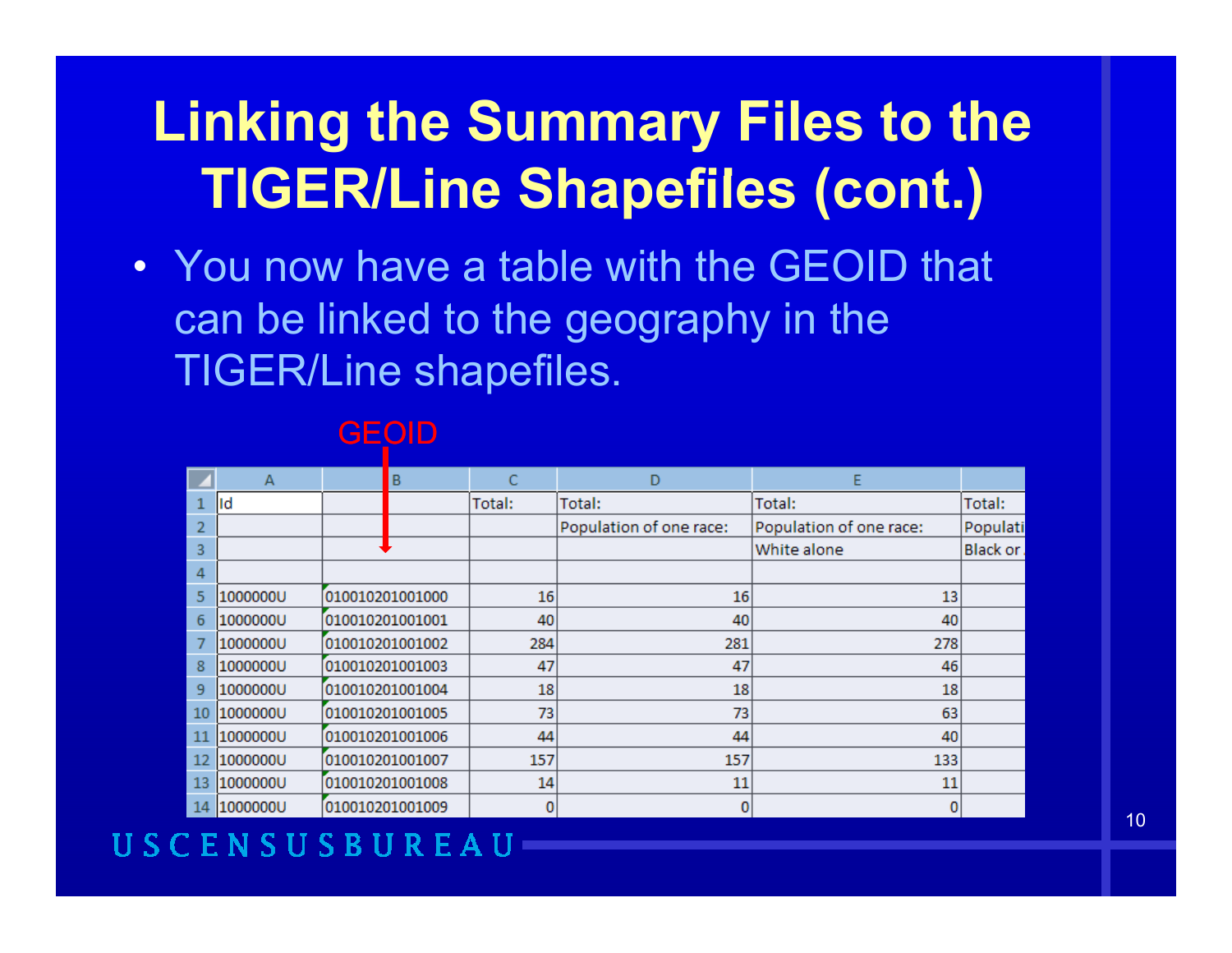• You now have a table with the GEOID that can be linked to the geography in the TIGER/Line shapefiles.

|    | $\overline{A}$ | B               |        | D                       | E                       |          |
|----|----------------|-----------------|--------|-------------------------|-------------------------|----------|
|    | lld            |                 | Total: | Total:                  | Total:                  | Total:   |
| 2  |                |                 |        | Population of one race: | Population of one race: | Populati |
| 3  |                |                 |        |                         | White alone             | Black or |
| 4  |                |                 |        |                         |                         |          |
| 5  | 1000000U       | 010010201001000 | 16     | 16                      | 13                      |          |
| 6  | 1000000U       | 010010201001001 | 40     | 40                      | 40                      |          |
| 7  | 1000000U       | 010010201001002 | 284    | 281                     | 278                     |          |
| 8  | 1000000U       | 010010201001003 | 47     | 47                      | 46                      |          |
| 9  | 1000000U       | 010010201001004 | 18     | 18                      | 18                      |          |
| 10 | 1000000U       | 010010201001005 | 73     | 73                      | 63                      |          |
| 11 | 1000000U       | 010010201001006 | 44     | 44                      | 40                      |          |
| 12 | 1000000U       | 010010201001007 | 157    | 157                     | 133                     |          |
| 13 | 1000000U       | 010010201001008 | 14     | 11                      | 11                      |          |
| 14 | 1000000U       | 010010201001009 | 0      | 0                       | 0                       |          |

#### GEOID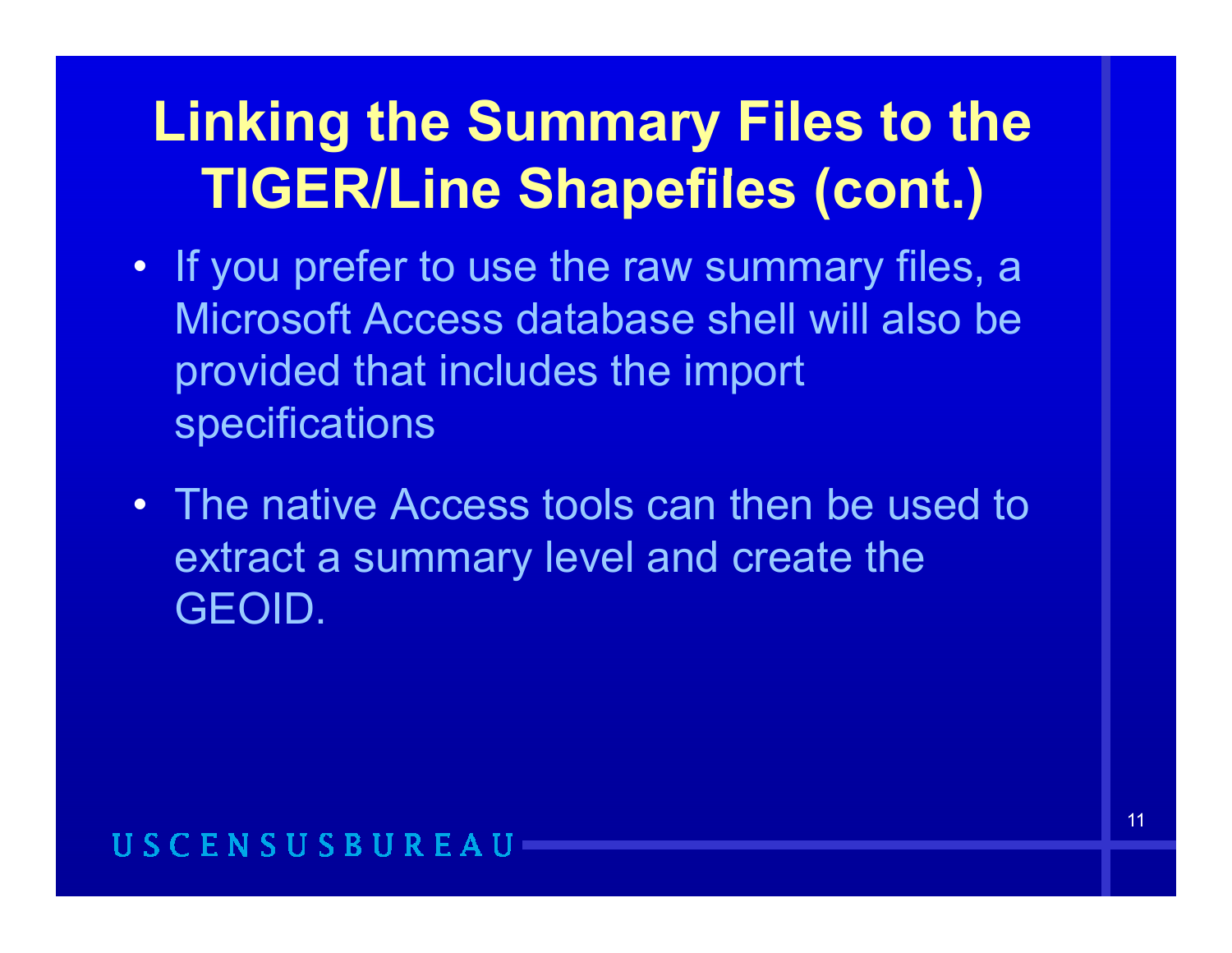- If you prefer to use the raw summary files, a Microsoft Access database shell will also be provided that includes the import specifications
- The native Access tools can then be used to extract a summary level and create the GEOID.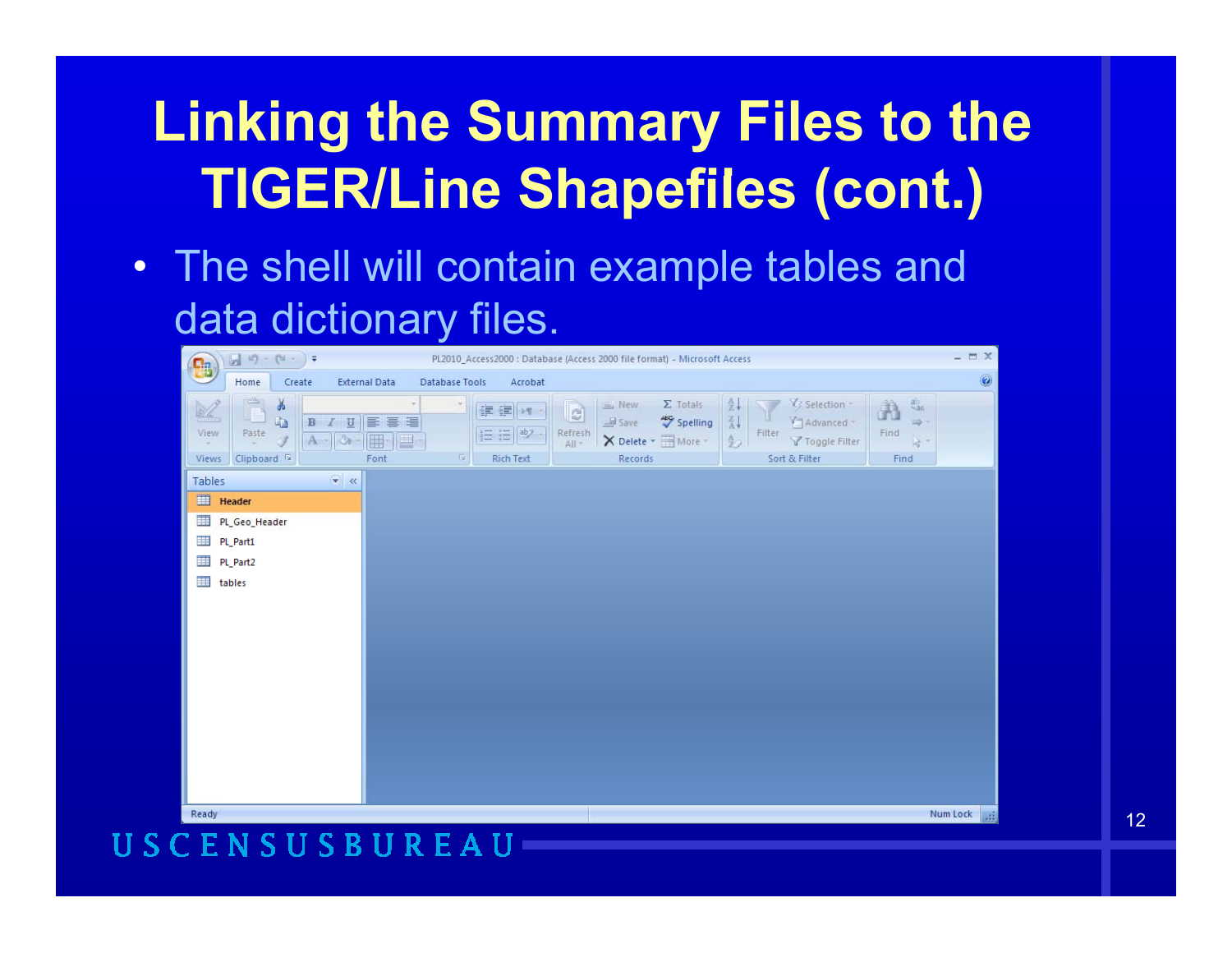• The shell will contain example tables and data dictionary files.

| <b>B</b>                                       | $\frac{\partial \mathbf{u}}{\partial \mathbf{u}}\cdot\mathbf{u}^{(n)}=\left(\mathbf{u}^{(n)}\cdot\mathbf{v}\right)\cdot\mathbf{v}^{(n)}$ |                                                                           |                        | PL2010_Access2000 : Database (Access 2000 file format) - Microsoft Access |                      |                                                                            |                                                                                       |                                                                           |                                                                              | $ \equiv$ $X$                    |
|------------------------------------------------|------------------------------------------------------------------------------------------------------------------------------------------|---------------------------------------------------------------------------|------------------------|---------------------------------------------------------------------------|----------------------|----------------------------------------------------------------------------|---------------------------------------------------------------------------------------|---------------------------------------------------------------------------|------------------------------------------------------------------------------|----------------------------------|
|                                                | Home                                                                                                                                     | Create                                                                    | <b>External Data</b>   | Acrobat<br>Database Tools                                                 |                      |                                                                            |                                                                                       |                                                                           |                                                                              | $\textcircled{\footnotesize{8}}$ |
| X<br>View<br>$\overline{\phantom{a}}$<br>Views | $\mathbb{R}$<br>$\frac{1}{2}$<br>the control<br>Paste<br>3<br>Clipboard <sup>1</sup>                                                     | $\,$ B<br>$\underline{\mathtt{U}}$<br>$\overline{I}$<br>$A - \mathcal{R}$ | 事事者<br>囲<br>里·<br>Font | 建建 197<br>三 三 <sup>ab</sup><br>应<br>Rich Text                             | a<br>Refresh<br>All- | $\Sigma$ Totals<br>E New<br>$\equiv$ Save<br>X Delete * IMore *<br>Records | $\frac{\hbar}{2}$<br>$\frac{Z}{\Delta}$<br><b>ABC</b> Spelling<br>$\frac{\Lambda}{2}$ | V Selection -<br>Advanced ~<br>Filter<br>Y Toggle Filter<br>Sort & Filter | $rac{a}{4ac}$<br>Ä<br>$\Rightarrow$<br>Find<br>$\lambda_{\vec{k}}$ -<br>Find |                                  |
| Tables                                         |                                                                                                                                          | $\bullet$ «                                                               |                        |                                                                           |                      |                                                                            |                                                                                       |                                                                           |                                                                              |                                  |
| 画                                              | Header                                                                                                                                   |                                                                           |                        |                                                                           |                      |                                                                            |                                                                                       |                                                                           |                                                                              |                                  |
| 噩                                              | PL_Geo_Header                                                                                                                            |                                                                           |                        |                                                                           |                      |                                                                            |                                                                                       |                                                                           |                                                                              |                                  |
| 蘁                                              | PL_Part1                                                                                                                                 |                                                                           |                        |                                                                           |                      |                                                                            |                                                                                       |                                                                           |                                                                              |                                  |
| 讍                                              | PL_Part2                                                                                                                                 |                                                                           |                        |                                                                           |                      |                                                                            |                                                                                       |                                                                           |                                                                              |                                  |
| 噩                                              | tables                                                                                                                                   |                                                                           |                        |                                                                           |                      |                                                                            |                                                                                       |                                                                           |                                                                              |                                  |
|                                                |                                                                                                                                          |                                                                           |                        |                                                                           |                      |                                                                            |                                                                                       |                                                                           |                                                                              |                                  |
|                                                |                                                                                                                                          |                                                                           |                        |                                                                           |                      |                                                                            |                                                                                       |                                                                           |                                                                              |                                  |
|                                                |                                                                                                                                          |                                                                           |                        |                                                                           |                      |                                                                            |                                                                                       |                                                                           |                                                                              |                                  |
|                                                |                                                                                                                                          |                                                                           |                        |                                                                           |                      |                                                                            |                                                                                       |                                                                           |                                                                              |                                  |
|                                                |                                                                                                                                          |                                                                           |                        |                                                                           |                      |                                                                            |                                                                                       |                                                                           |                                                                              |                                  |
|                                                |                                                                                                                                          |                                                                           |                        |                                                                           |                      |                                                                            |                                                                                       |                                                                           |                                                                              |                                  |
|                                                |                                                                                                                                          |                                                                           |                        |                                                                           |                      |                                                                            |                                                                                       |                                                                           |                                                                              |                                  |
|                                                |                                                                                                                                          |                                                                           |                        |                                                                           |                      |                                                                            |                                                                                       |                                                                           |                                                                              |                                  |
|                                                |                                                                                                                                          |                                                                           |                        |                                                                           |                      |                                                                            |                                                                                       |                                                                           |                                                                              |                                  |
| Ready                                          |                                                                                                                                          |                                                                           |                        |                                                                           |                      |                                                                            |                                                                                       |                                                                           |                                                                              | Num Lock<br>园                    |

#### R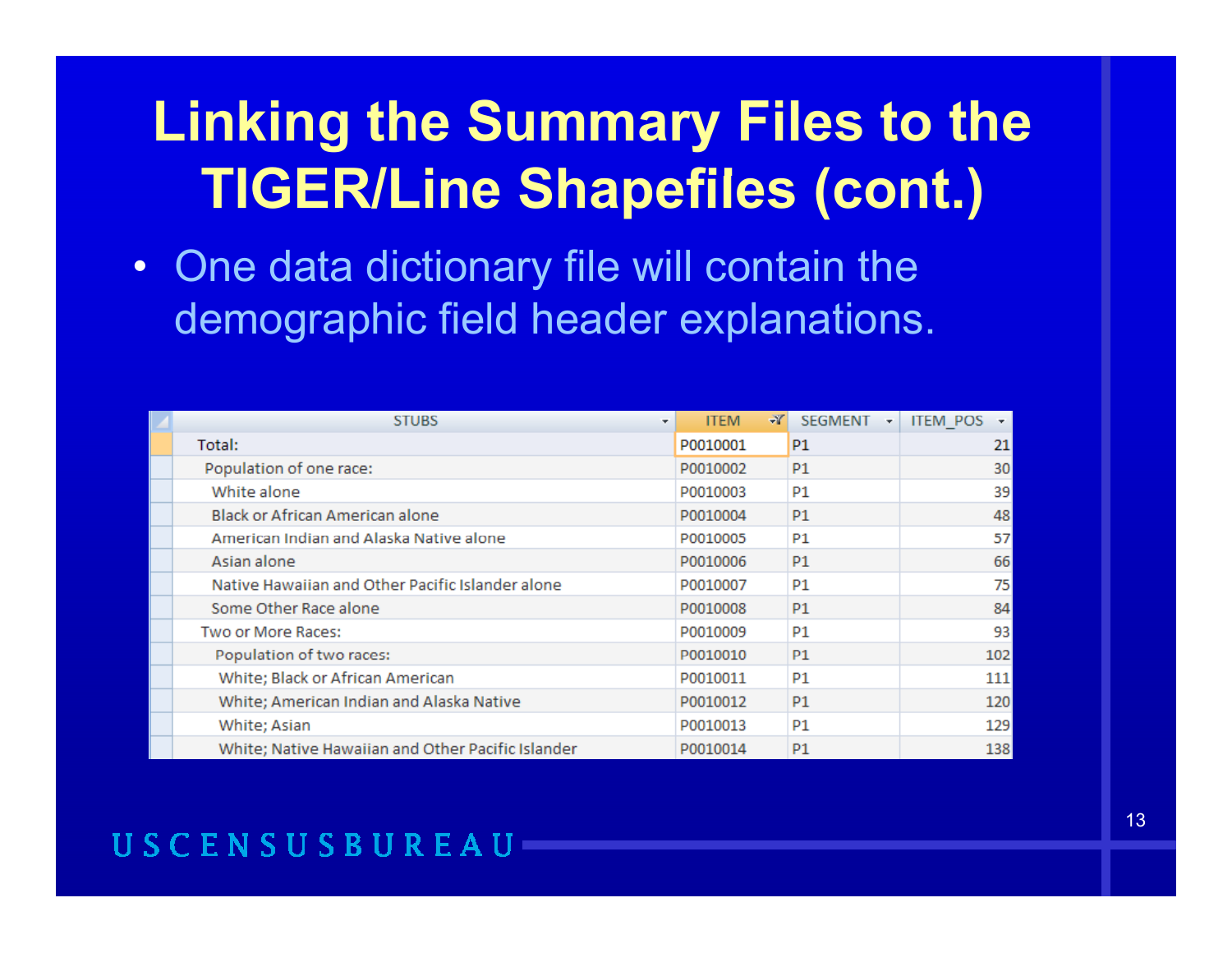• One data dictionary file will contain the demographic field header explanations.

| <b>STUBS</b>                                      | ×. | <b>ITEM</b> | $\rightarrow$ | <b>SEGMENT</b> | <b>ITEM POS</b> |
|---------------------------------------------------|----|-------------|---------------|----------------|-----------------|
| Total:                                            |    | P0010001    |               | P1             | 21              |
| Population of one race:                           |    | P0010002    |               | <b>P1</b>      | 30              |
| White alone                                       |    | P0010003    |               | P1             | 39              |
| <b>Black or African American alone</b>            |    | P0010004    |               | <b>P1</b>      | 48              |
| American Indian and Alaska Native alone           |    | P0010005    |               | P1             | 57              |
| Asian alone                                       |    | P0010006    |               | <b>P1</b>      | 66              |
| Native Hawaiian and Other Pacific Islander alone  |    | P0010007    |               | P1             | 75              |
| Some Other Race alone                             |    | P0010008    |               | P1             | 84              |
| Two or More Races:                                |    | P0010009    |               | P1             | 93              |
| Population of two races:                          |    | P0010010    |               | <b>P1</b>      | 102             |
| White; Black or African American                  |    | P0010011    |               | P1             | 111             |
| White; American Indian and Alaska Native          |    | P0010012    |               | P <sub>1</sub> | 120             |
| White; Asian                                      |    | P0010013    |               | P1             | 129             |
| White; Native Hawaiian and Other Pacific Islander |    | P0010014    |               | P <sub>1</sub> | 138             |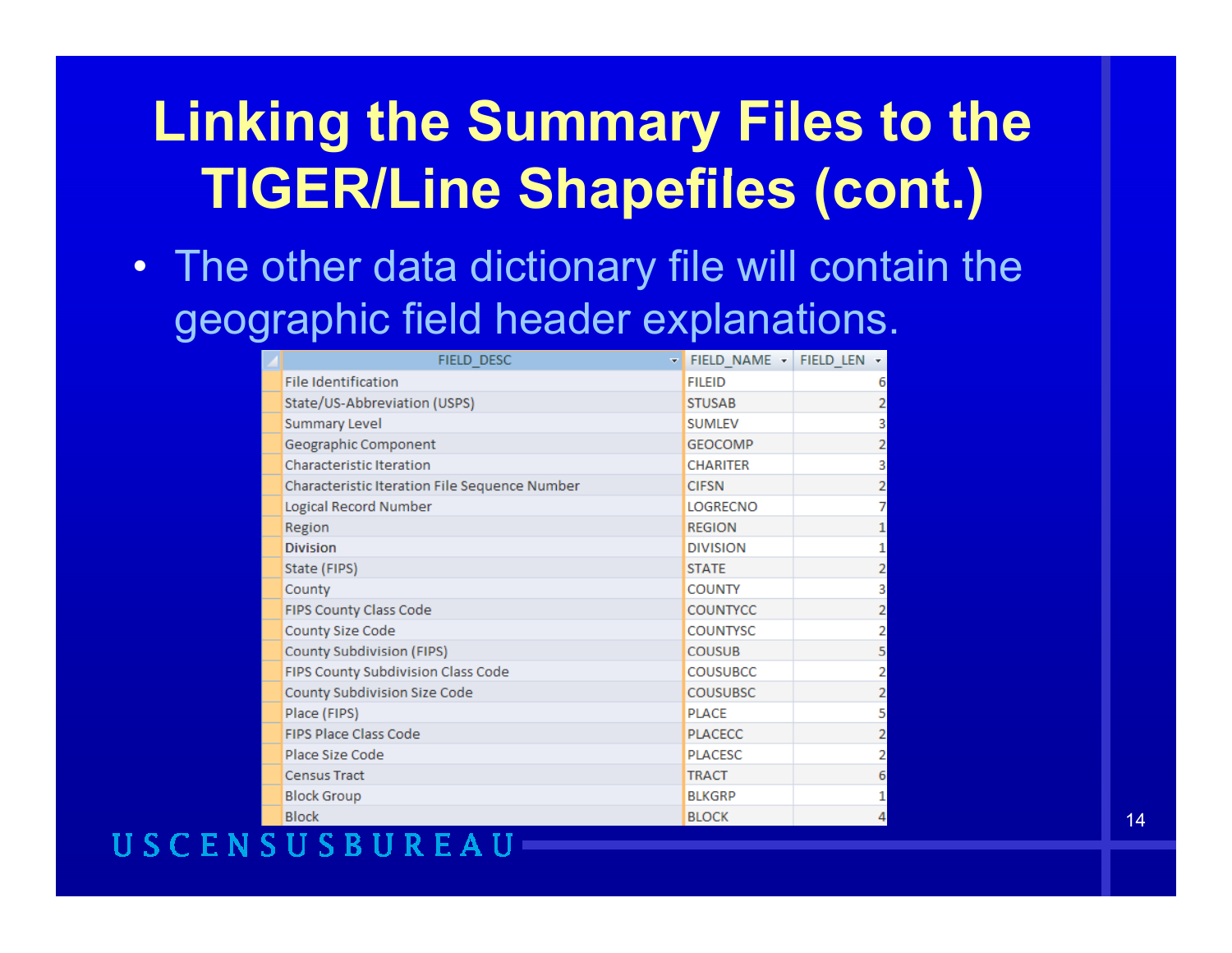• The other data dictionary file will contain the geographic field header explanations.

| FIELD_DESC<br>÷                               | FIELD NAME - FIELD LEN - |                |
|-----------------------------------------------|--------------------------|----------------|
| <b>File Identification</b>                    | <b>FILEID</b>            | 6              |
| State/US-Abbreviation (USPS)                  | <b>STUSAB</b>            | 2              |
| <b>Summary Level</b>                          | <b>SUMLEV</b>            | 3              |
| Geographic Component                          | <b>GEOCOMP</b>           | 2              |
| <b>Characteristic Iteration</b>               | <b>CHARITER</b>          | 3              |
| Characteristic Iteration File Sequence Number | <b>CIFSN</b>             | 2              |
| Logical Record Number                         | <b>LOGRECNO</b>          | 7              |
| Region                                        | <b>REGION</b>            | 1              |
| <b>Division</b>                               | <b>DIVISION</b>          | 1              |
| State (FIPS)                                  | <b>STATE</b>             | $\overline{2}$ |
| County                                        | <b>COUNTY</b>            | 3              |
| FIPS County Class Code                        | <b>COUNTYCC</b>          | 2              |
| County Size Code                              | <b>COUNTYSC</b>          | 2              |
| <b>County Subdivision (FIPS)</b>              | <b>COUSUB</b>            | 5              |
| FIPS County Subdivision Class Code            | <b>COUSUBCC</b>          | 2              |
| County Subdivision Size Code                  | <b>COUSUBSC</b>          | 2              |
| Place (FIPS)                                  | <b>PLACE</b>             | 5              |
| <b>FIPS Place Class Code</b>                  | <b>PLACECC</b>           | 2              |
| Place Size Code                               | <b>PLACESC</b>           | 2              |
| <b>Census Tract</b>                           | <b>TRACT</b>             | 6              |
| <b>Block Group</b>                            | <b>BLKGRP</b>            | 1              |
| <b>Block</b>                                  | <b>BLOCK</b>             | 4              |

#### USCENSUSBU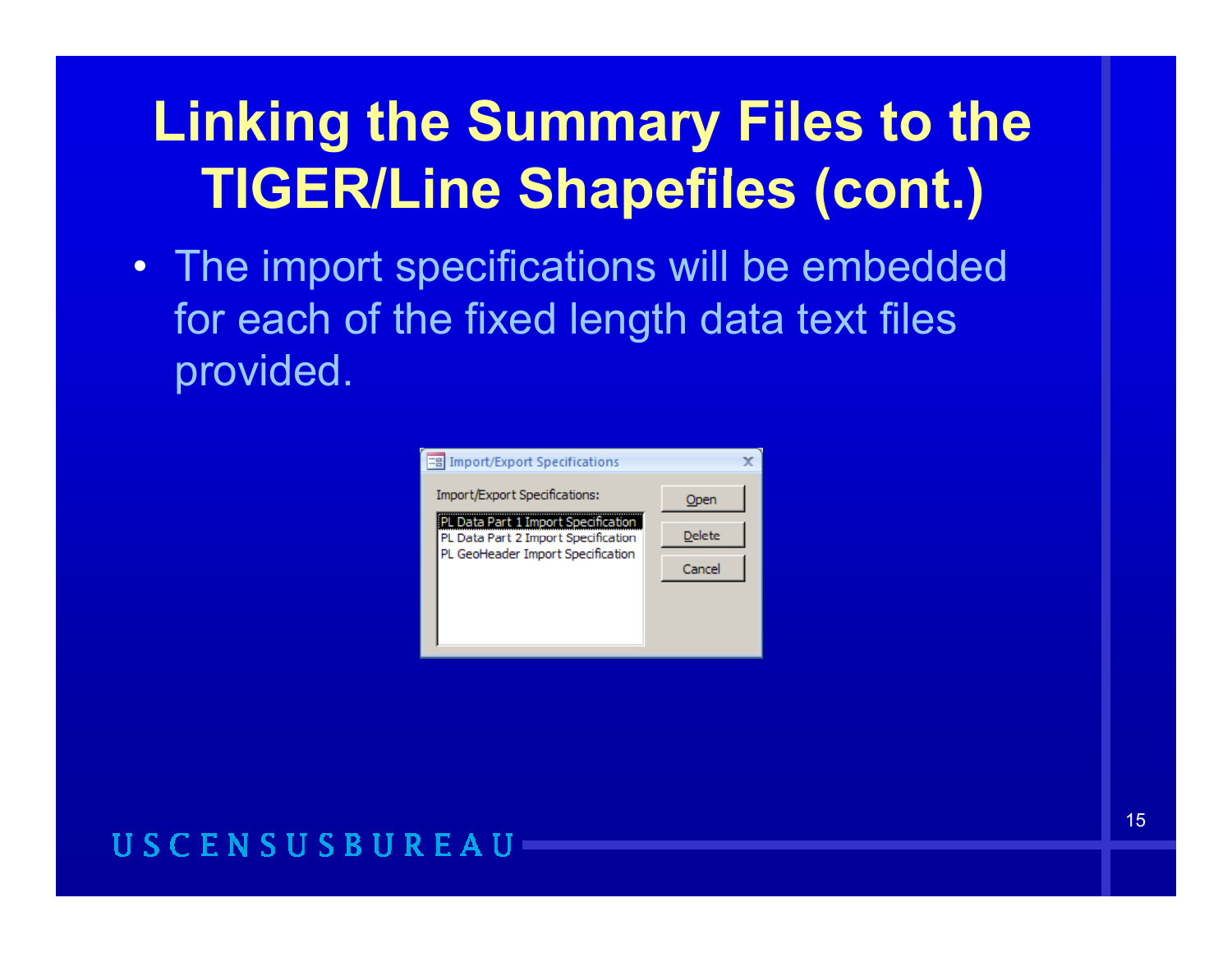• The import specifications will be embedded for each of the fixed length data text files provided.

| =8 | <b>Import/Export Specifications</b>                                                                                  |        |  |
|----|----------------------------------------------------------------------------------------------------------------------|--------|--|
|    | Import/Export Specifications:                                                                                        | Open   |  |
|    | .<br>PL Data Part 1 Import Specification<br>PL Data Part 2 Import Specification<br>PL GeoHeader Import Specification | Delete |  |
|    |                                                                                                                      | Cancel |  |
|    |                                                                                                                      |        |  |
|    |                                                                                                                      |        |  |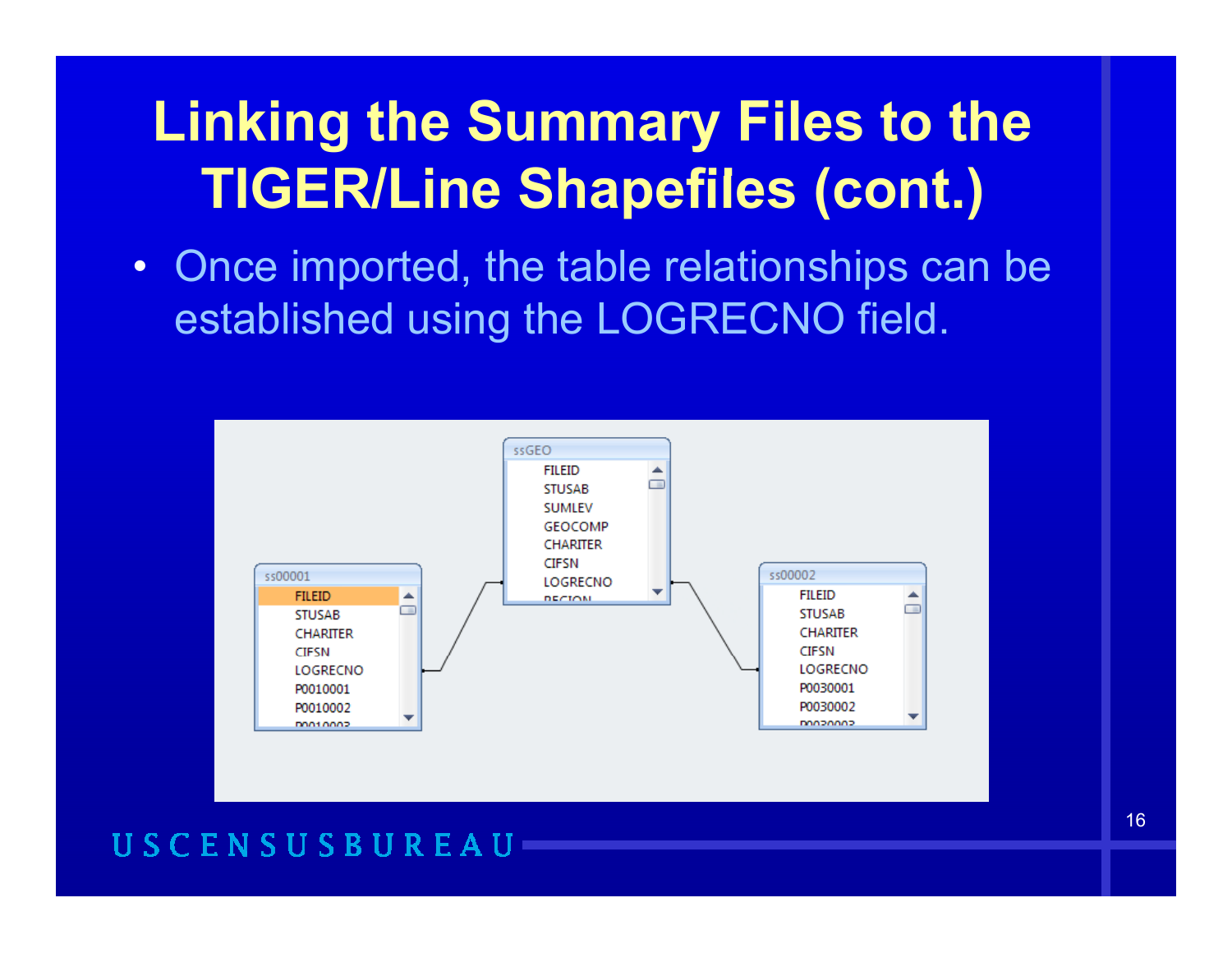• Once imported, the table relationships can be established using the LOGRECNO field.